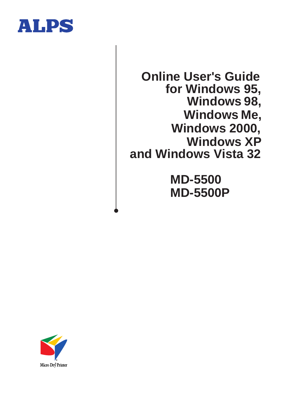

**Online User's Guide for Windows 95, Windows 98, Windows Me, Windows 2000, Windows XP and Windows Vista 32**

> **MD-5500 MD-5500P**

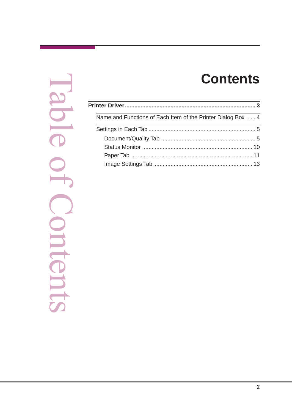# **Contents**

DIG ntent

| Name and Functions of Each Item of the Printer Dialog Box  4 |  |
|--------------------------------------------------------------|--|
|                                                              |  |
|                                                              |  |
|                                                              |  |
|                                                              |  |
|                                                              |  |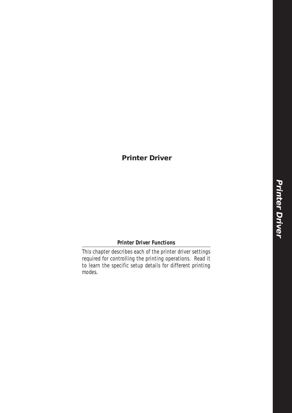## <span id="page-2-0"></span>**Printer Driver**

### **Printer Driver Functions**

This chapter describes each of the printer driver settings required for controlling the printing operations. Read it to learn the specific setup details for different printing modes.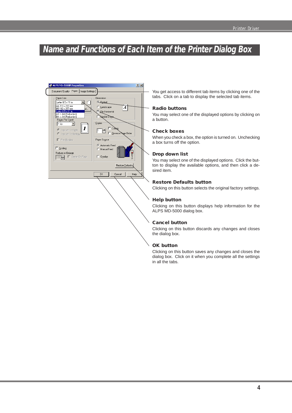## <span id="page-3-0"></span>**Name and Functions of Each Item of the Printer Dialog Box**



You get access to different tab items by clicking one of the tabs. Click on a tab to display the selected tab items.

### **Radio buttons**

You may select one of the displayed options by clicking on a button.

### **Check boxes**

When you check a box, the option is turned on. Unchecking a box turns off the option.

#### **Drop down list**

You may select one of the displayed options. Click the button to display the available options, and then click a desired item.

### **Restore Defaults button**

Clicking on this button selects the original factory settings.

### **Help button**

Clicking on this button displays help information for the ALPS MD-5000 dialog box.

### **Cancel button**

Clicking on this button discards any changes and closes the dialog box.

### **OK button**

Clicking on this button saves any changes and closes the dialog box. Click on it when you complete all the settings in all the tabs.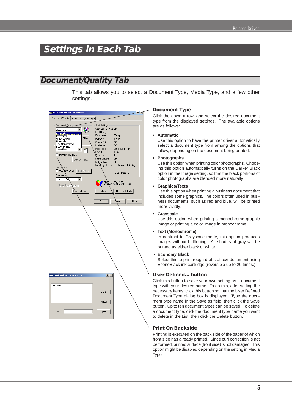## <span id="page-4-0"></span>**Settings in Each Tab**

## **Document/Quality Tab**

This tab allows you to select a Document Type, Media Type, and a few other settings.

| ALPS MD-5000P Properties                                                                                                                                                                                                                                                                                                                                                                                           | 2x                                                                                                 |
|--------------------------------------------------------------------------------------------------------------------------------------------------------------------------------------------------------------------------------------------------------------------------------------------------------------------------------------------------------------------------------------------------------------------|----------------------------------------------------------------------------------------------------|
| Document/Quality Paper   Image Settings                                                                                                                                                                                                                                                                                                                                                                            |                                                                                                    |
|                                                                                                                                                                                                                                                                                                                                                                                                                    |                                                                                                    |
| Document Type<br>Print Settings<br>Spot Color Setting: Off<br>Automatic<br>$\overline{\phantom{a}}$<br>Print Using:<br>Automatic<br>Resolution:<br>Photographs<br>fined<br>Graphics/Text<br>Halftone:<br>Grayscale<br>Glossy Finish:<br>Text[Monochrome]<br>Undercoat:<br>Economy Black<br>Paper Size:<br>Laser Paper<br>٣<br>Layout<br>Print On Backside<br><b>Qrientation:</b><br>Photo Enhance:<br>User Defined | $\sim$<br>600 dpi<br>145 lpi<br>Off<br>Off<br>Letter 8.5 x 11 in<br>1 Up<br>Portrait<br>Off<br>Off |
| Dalker Black:<br><b>Print Settings</b><br>Use pot Color[s] Spot Colors<br>Print Mode<br>Standard Color                                                                                                                                                                                                                                                                                                             | Matching Method: Use Driver's Matching<br>Show Details<br>Micro Dry Printer                        |
| Eiect Paper Nuicker                                                                                                                                                                                                                                                                                                                                                                                                |                                                                                                    |
| More Settings<br>About                                                                                                                                                                                                                                                                                                                                                                                             | Restore Defaults                                                                                   |
| <b>OK</b>                                                                                                                                                                                                                                                                                                                                                                                                          | Concel<br>Help                                                                                     |
|                                                                                                                                                                                                                                                                                                                                                                                                                    |                                                                                                    |
|                                                                                                                                                                                                                                                                                                                                                                                                                    |                                                                                                    |
| <b>User Defined Document Type</b><br>7x                                                                                                                                                                                                                                                                                                                                                                            |                                                                                                    |
| List<br>Document1<br>Save<br>Delete                                                                                                                                                                                                                                                                                                                                                                                |                                                                                                    |
| $S$ ave as: $\Box$<br>Close                                                                                                                                                                                                                                                                                                                                                                                        |                                                                                                    |

### **Document Type**

Click the down arrow, and select the desired document type from the displayed settings. The available options are as follows:

#### • **Automatic**

Use this option to have the printer driver automatically select a document type from among the options that follow, depending on the docuemnt being printed.

### **• Photographs**

Use this option when printing color photographs. Choosing this option automatically turns on the Darker Black option in the Image setting, so that the black portions of color photographs are blended more naturally.

#### **• Graphics/Texts**

Use this option when printing a business document that includes some graphics. The colors often used in business documents, such as red and blue, will be printed more vividly.

### **• Grayscale**

Use this option when printing a monochrome graphic image or printing a color image in monochrome.

#### **• Text (Monochrome)**

In contrast to Grayscale mode, this option produces images without halftoning. All shades of gray will be printed as either black or white.

#### **• Economy Black**

Select this to print rough drafts of text document using EconoBlack ink cartridge (reversible up to 20 times.)

### **User Defined... button**

Click this button to save your own setting as a document type with your desired name. To do this, after setting the necessary items, click this button so that the User Defined Document Type dialog box is displayed. Type the document type name in the Save as field, then click the Save button. Up to ten document types can be saved. To delete a document type, click the document type name you want to delete in the List, then click the Delete button.

### **Print On Backside**

Printing is executed on the back side of the paper of which front side has already printed. Since curl correction is not performed, printed surface (front side) is not damaged. This option might be disabled depending on the setting in Media Type.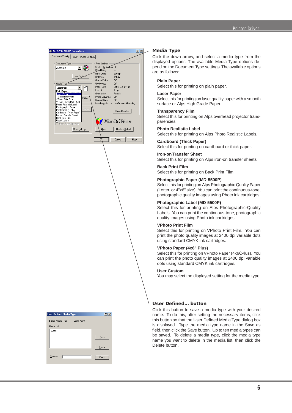

| <b>User Defined Media Type</b> |             | 7x     |
|--------------------------------|-------------|--------|
| Based Media Type               | Laser Paper |        |
| Media List                     |             |        |
| Paper1                         |             |        |
|                                |             | Save   |
|                                |             | Delete |
| Save as:                       |             | Close  |

#### **Media Type**

Click the down arrow, and select a media type from the displayed options. The available Media Type options depend on the Document Type settings.The available options are as follows:

### **Plain Paper**

Select this for printing on plain paper.

### **Laser Paper**

Select this for printing on laser quality paper with a smooth surface or Alps High Grade Paper.

### **Transparency Film**

Select this for printing on Alps overhead projector transparencies.

### **Photo Realistic Label**

Select this for printing on Alps Photo Realistic Labels.

### **Cardboard (Thick Paper)**

Select this for printing on cardboard or thick paper.

### **Iron-on Transfer Sheet**

Select this for printing on Alps iron-on transfer sheets.

### **Back Print Film**

Select this for printing on Back Print Film.

### **Photographic Paper (MD-5500P)**

Select this for printing on Alps Photographic Quality Paper (Letter, or 4"x6" size). You can print the continuous-tone, photographic quality images using Photo ink cartridges.

### **Photographic Label (MD-5500P)**

Select this for printing on Alps Photographic-Quality Labels. You can print the continuous-tone, photographic quality images using Photo ink cartridges.

### **VPhoto Print Film**

Select this for printing on VPhoto Print Film. You can print the photo quality images at 2400 dpi variable dots using standard CMYK ink cartridges.

### **VPhoto Paper (4x6" Plus)**

Select this for printing on VPhoto Paper (4x6Ó Plus). You can print the photo quality images at 2400 dpi variable dots using standard CMYK ink cartridges.

#### **User Custom**

You may select the displayed setting for the media type.

### **User Defined... button**

Click this button to save a media type with your desired name. To do this, after setting the necessary items, click this button so that the User Defined Media Type dialog box is displayed. Type the media type name in the Save as field, then click the Save button. Up to ten media types can be saved. To delete a media type, click the media type name you want to delete in the media list, then click the Delete button.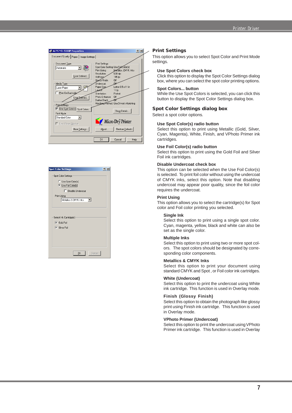

| <b>Spot Color Settings</b>                                            | 7) |
|-----------------------------------------------------------------------|----|
| <b>Spot Color Settings</b>                                            |    |
| C Use Spot Color[s]<br><b>C</b> Use Foil Color[s]                     |    |
| Disable Undercoat                                                     |    |
| <b>Print Using</b>                                                    |    |
| Metallics & CMYK Inks<br>▾                                            |    |
| Select Ink Cartridge[s]<br>$\nabla$ Gold Foil<br><b>▽</b> Silver Foil |    |
| Cancel<br><b>OK</b>                                                   |    |

#### **Print Settings**

This option allows you to select Spot Color and Print Mode settings.

### **Use Spot Colors check box**

Click this option to display the Spot Color Settings dialog box, where you can select the spot color printing options.

#### **Spot Colors... button**

While the Use Spot Colors is selected, you can click this button to display the Spot Color Settings dialog box.

#### **Spot Color Settings dialog box**

Select a spot color options.

### **Use Spot Color(s) radio button**

Select this option to print using Metallic (Gold, Silver, Cyan, Magenta), White, Finish, and VPhoto Primer ink cartridges.

### **Use Foil Color(s) radio button**

Select this option to print using the Gold Foil and Silver Foil ink cartridges.

### **Disable Undercoat check box**

This option can be selected when the Use Foil Color(s) is selected. To print foil color without using the undercoat of CMYK inks, select this option. Note that disabling undercoat may appear poor quality, since the foil color requires the undercoat.

### **Print Using**

This option allows you to select the cartridge(s) for Spot color and Foil color printing you selected.

### **Single Ink**

Select this option to print using a single spot color. Cyan, magenta, yellow, black and white can also be set as the single color.

### **Multiple Inks**

Select this option to print using two or more spot colors. The spot colors should be designated by corresponding color components.

### **Metallics & CMYK Inks**

Select this option to print your document using standard CMYK and Spot , or Foil color ink cartridges.

#### **White (Undercoat)**

Select this option to print the undercoat using White ink cartridge. This function is used in Overlay mode.

### **Finish (Glossy Finish)**

Select this option to obtain the photograph like glossy print using Finish ink cartridge. This function is used in Overlay mode.

### **VPhoto Primer (Undercoat)**

Select this option to print the undercoat using VPhoto Primer ink cartridge. This function is used in Overlay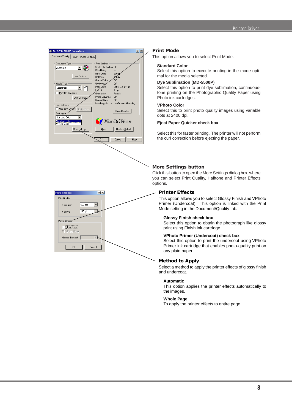

### **Print Mode**

This option allows you to select Print Mode.

### **Standard Color**

Select this option to execute printing in the mode optimal for the media selected.

### **Dye Sublimation (MD-5500P)**

Select this option to print dye sublimation, continuoustone printing on the Photographic Quality Paper using Photo ink cartridges.

### **VPhoto Color**

Select this to print photo quality images using variable dots at 2400 dpi.

### **Eject Paper Quicker check box**

Select this for faster printing. The printer will not perform the curl correction before ejecting the paper.

### **More Settings button**

Click this button to open the More Settings dialog box, where you can select Print Quality, Halftone and Printer Effects options.

### **Printer Effects**

Mode setting in the Document/Quality tab. Primer (Undercoat). This option is linked with the Print This option allows you to select Glossy Finish and VPhoto

### **Glossy Finish check box**

print using Finish ink cartridge. Select this option to obtain the photograph like glossy

### **VPhoto Primer (Undercoat) check box**

any plain paper. Primer ink cartridge that enables photo-quality print on Select this option to print the undercoat using VPhoto

### **Method to Apply**

and undercoat. Select a method to apply the printer effects of glossy finish

### **Automatic**

the images. This option applies the printer effects automatically to

### **Whole Page**

To apply the printer effects to entire page.

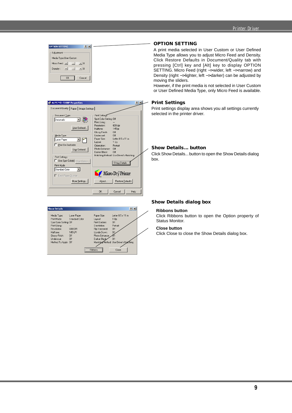**9**

### Printer Driver

## **OPTION SETTING**

A print media selected in User Custom or User Defined Media Type allows you to adjust Micro Feed and Density. Click Restore Defaults in Document/Quality tab with pressing [Ctrl] key and [Alt] key to display OPTION SETTING. Micro Feed (right –> wider, left –> narrow) and Density (right −> lighter, left −> darker) can be adjusted by moving the sliders.

However, if the print media is not selected in User Custom or User Defined Media Type, only Micro Feed is available.

### **Print Settings**

selected in the printer driver. Print settings display area shows you all settings currently

### **Show Details... button**

box. Click Show Details... button to open the Show Details dialog

### **Show Details dialog box**

### **Ribbons button**

Status Monitor. Click Ribbons button to open the Option property of

### **Close button**

Click Close to close the Show Details dialog box.



**OPTION SETTING** 

Density:  $\boxed{4}$ 

**Adjustment** Media Type: User Custom Micro Feed :  $\boxed{1}$   $|2|X|$ 

 $\mathbf{E}$  0

Cancel

 $\Box$  $\mathbf{E}$  0

 $\overline{\mathsf{OK}}$ 

| <b>Show Details</b>                                   |                                      |                                         | ?                                                     |  |
|-------------------------------------------------------|--------------------------------------|-----------------------------------------|-------------------------------------------------------|--|
| Media Type:<br>Print Mode:<br>Spot Color Setting: Off | Laser Paper<br><b>Standard Color</b> | Paper Size:<br>Layout<br>Print Borders: | Letter 8.5 x 11 in<br>1 Up<br>Off                     |  |
| Print Using:<br><b>Resolution:</b>                    | $\cdots$<br>600 DPI                  | Orientation:<br>Flip Horizontal:        | Portrait<br>Off                                       |  |
| Halftone:<br>Glossy Finish:                           | 145 I PI<br>Off                      | Upside Down:<br>Photo Enhance:          | Off                                                   |  |
| Undercoat:<br>Method To Apply: Off                    | Off                                  | Darker Black                            | $\Omega$ ff<br>Matching Method: Use Driver's Matching |  |
|                                                       |                                      | <b>Bibbons</b>                          | Close                                                 |  |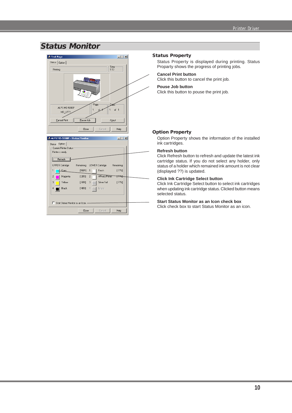## <span id="page-9-0"></span>**Status Monitor**



### **Status Property**

Status Property is displayed during printing. Status Proparty shows the progress of printing jobs.

### **Cancel Print button**

Click this button to cancel the print job.

### **Pouse Job button**

Click this button to pouse the print job.

### **Option Property**

Option Property shows the information of the installed ink cartridges.

### **Refresh button**

Click Refresh button to refresh and update the latest ink cartridge status. If you do not select any holder, only status of a holder which remained ink amount is not clear (displayed ??) is updated.

### **Click Ink Cartridge Select button**

Click Ink Cartridge Select button to select ink cartridges when updating ink cartridge status. Clicked button means selected status.

### **Start Status Monitor as an Icon check box**

Click check box to start Status Monitor as an icon.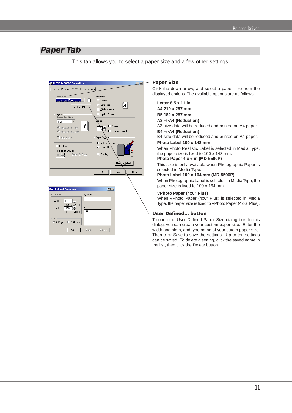## <span id="page-10-0"></span>**Paper Tab**

This tab allows you to select a paper size and a few other settings.



### **Paper Size**

Click the down arrow, and select a paper size from the displayed options. The available options are as follows:

**Letter 8.5 x 11 in A4 210 x 297 mm**

**B5 182 x 257 mm A3** −>**A4 (Reduction)** A3-size data will be reduced and printed on A4 paper.

**B4** −>**A4 (Reduction)**

B4-size data will be reduced and printed on A4 paper. **Photo Label 100 x 148 mm**

When Photo Realistic Label is selected in Media Type, the paper size is fixed to 100 x 148 mm.

### **Photo Paper 4 x 6 in (MD-5500P)**

This size is only available when Photographic Paper is selected in Media Type.

### **Photo Label 100 x 164 mm (MD-5500P)**

When Photographic Label is selected in Media Type, the paper size is fixed to 100 x 164 mm.

### **VPhoto Paper (4x6" Plus)**

When VPhoto Paper (4x6" Plus) is selected in Media Type, the paper size is fixed to VPhoto Paper (4x 6" Plus).

### **User Defined... button**

To open the User Defined Paper Size dialog box. In this dialog, you can create your custom paper size. Enter the width and higth, and type name of your cutom paper size. Then click Save to save the settings. Up to ten settings can be saved. To delete a setting, click the saved name in the list, then click the Delete button.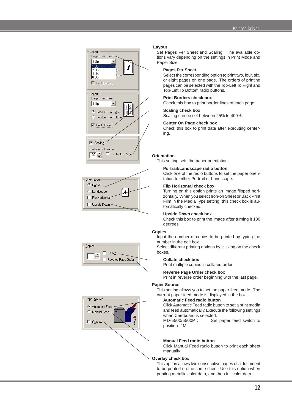







#### **Layout**

Set Pages Per Sheet and Scaling. The available options vary depending on the settings in Print Mode and Paper Size.

#### **Pages Per Sheet**

Select the corresponding option to print two, four, six, or eight pages on one page. The orders of printing pages can be selected with the Top-Left To Right and Top-Left To Bottom radio buttons.

### **Print Borders check box**

Check this box to print border lines of each page.

### **Scaling check box**

Scaling can be set between 25% to 400%.

### **Center On Page check box**

Check this box to print data after executing centering.

#### **Orientation**

This setting sets the paper orientation.

#### **Portrait/Landscape radio button**

Click one of the radio buttons to set the paper orientation to either Portrait or Landscape.

#### **Flip Horizontal check box**

Turning on this option prints an image flipped horizontally. When you select Iron-on Sheet or Back Print Film in the Media Type setting, this check box is automatically checked.

### **Upside Down check box**

Check this box to print the image after turning it 180 degrees.

### **Copies**

Input the number of copies to be printed by typing the number in the edit box.

Select different printing options by clicking on the check boxes.

### **Collate check box**

Print multiple copies in collated order.

### **Reverse Page Order check box**

Print in reverse order beginning with the last page.

### **Paper Source**

This setting allows you to set the paper feed mode. The current paper feed mode is displayed in the box.

### **Automatic Feed radio button**

Click Automatic Feed radio button to set a print media and feed automatically. Execute the following settings when Cardboard is selected.

MD-5500/5500P : Set paper feed switch to position ' M '.

### **Manual Feed radio button**

Click Manual Feed radio button to print each sheet manually.

### **Overlay check box**

This option allows two consecutive pages of a document to be printed on the same sheet. Use this option when printing metallic color data, and then full color data.